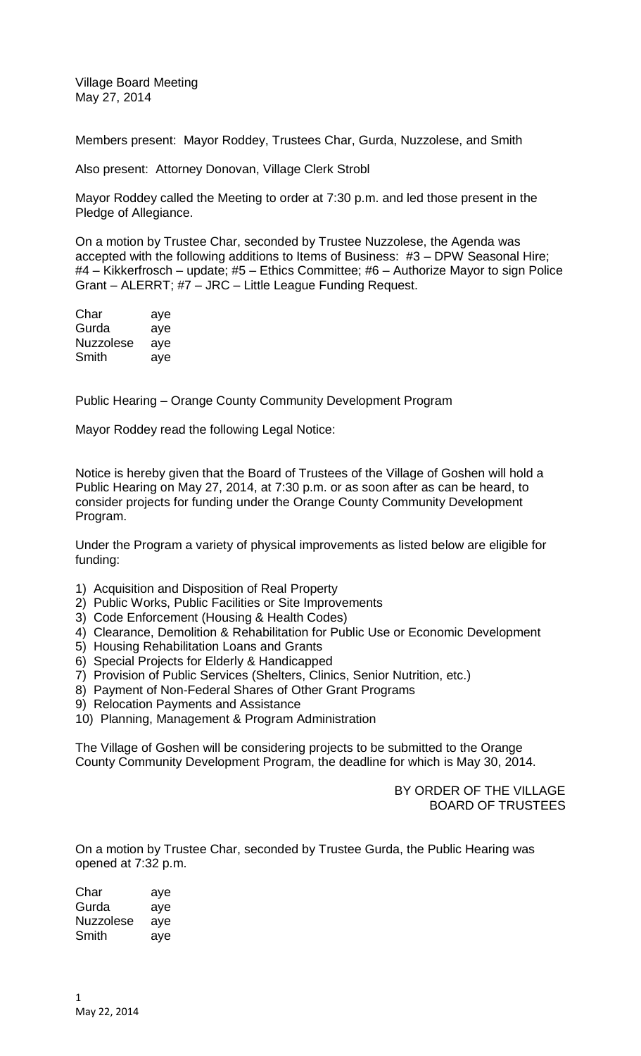Village Board Meeting May 27, 2014

Members present: Mayor Roddey, Trustees Char, Gurda, Nuzzolese, and Smith

Also present: Attorney Donovan, Village Clerk Strobl

Mayor Roddey called the Meeting to order at 7:30 p.m. and led those present in the Pledge of Allegiance.

On a motion by Trustee Char, seconded by Trustee Nuzzolese, the Agenda was accepted with the following additions to Items of Business: #3 – DPW Seasonal Hire; #4 – Kikkerfrosch – update; #5 – Ethics Committee; #6 – Authorize Mayor to sign Police Grant – ALERRT; #7 – JRC – Little League Funding Request.

| Char             | aye |
|------------------|-----|
| Gurda            | aye |
| <b>Nuzzolese</b> | aye |
| Smith            | aye |

Public Hearing – Orange County Community Development Program

Mayor Roddey read the following Legal Notice:

Notice is hereby given that the Board of Trustees of the Village of Goshen will hold a Public Hearing on May 27, 2014, at 7:30 p.m. or as soon after as can be heard, to consider projects for funding under the Orange County Community Development Program.

Under the Program a variety of physical improvements as listed below are eligible for funding:

- 1) Acquisition and Disposition of Real Property
- 2) Public Works, Public Facilities or Site Improvements
- 3) Code Enforcement (Housing & Health Codes)
- 4) Clearance, Demolition & Rehabilitation for Public Use or Economic Development
- 5) Housing Rehabilitation Loans and Grants
- 6) Special Projects for Elderly & Handicapped
- 7) Provision of Public Services (Shelters, Clinics, Senior Nutrition, etc.)
- 8) Payment of Non-Federal Shares of Other Grant Programs
- 9) Relocation Payments and Assistance
- 10) Planning, Management & Program Administration

The Village of Goshen will be considering projects to be submitted to the Orange County Community Development Program, the deadline for which is May 30, 2014.

> BY ORDER OF THE VILLAGE BOARD OF TRUSTEES

On a motion by Trustee Char, seconded by Trustee Gurda, the Public Hearing was opened at 7:32 p.m.

Char aye Gurda aye Nuzzolese aye Smith aye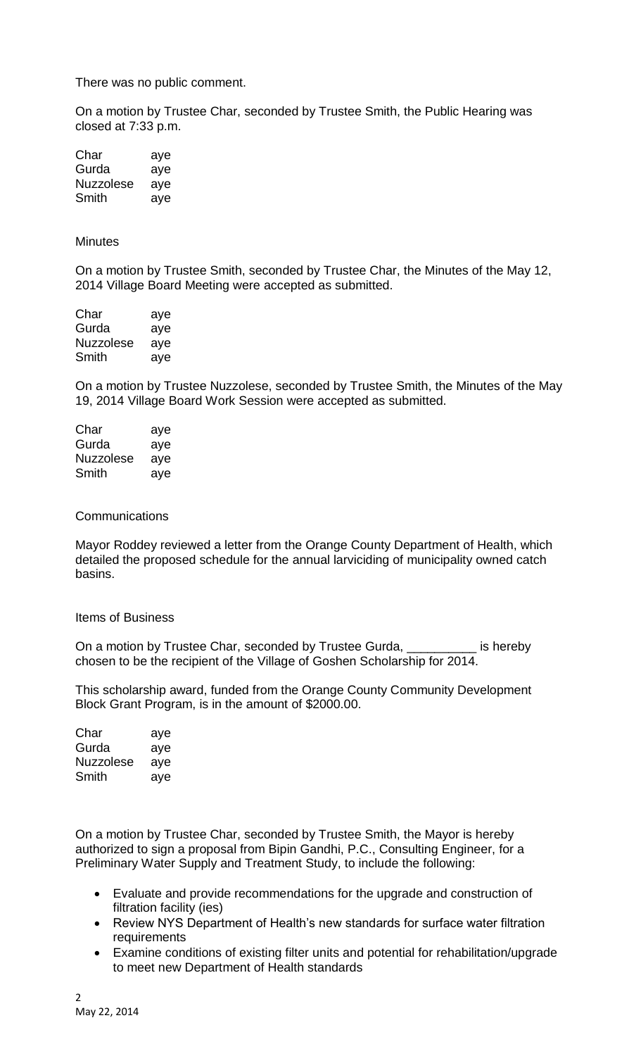There was no public comment.

On a motion by Trustee Char, seconded by Trustee Smith, the Public Hearing was closed at 7:33 p.m.

| Char      | aye |
|-----------|-----|
| Gurda     | aye |
| Nuzzolese | aye |
| Smith     | aye |

## **Minutes**

On a motion by Trustee Smith, seconded by Trustee Char, the Minutes of the May 12, 2014 Village Board Meeting were accepted as submitted.

| Char      | aye |
|-----------|-----|
| Gurda     | aye |
| Nuzzolese | aye |
| Smith     | aye |

On a motion by Trustee Nuzzolese, seconded by Trustee Smith, the Minutes of the May 19, 2014 Village Board Work Session were accepted as submitted.

| Char      | aye |
|-----------|-----|
| Gurda     | aye |
| Nuzzolese | aye |
| Smith     | aye |

## **Communications**

Mayor Roddey reviewed a letter from the Orange County Department of Health, which detailed the proposed schedule for the annual larviciding of municipality owned catch basins.

## Items of Business

On a motion by Trustee Char, seconded by Trustee Gurda, \_\_\_\_\_\_\_\_\_\_ is hereby chosen to be the recipient of the Village of Goshen Scholarship for 2014.

This scholarship award, funded from the Orange County Community Development Block Grant Program, is in the amount of \$2000.00.

| Char      | aye |
|-----------|-----|
| Gurda     | aye |
| Nuzzolese | ave |
| Smith     | aye |

On a motion by Trustee Char, seconded by Trustee Smith, the Mayor is hereby authorized to sign a proposal from Bipin Gandhi, P.C., Consulting Engineer, for a Preliminary Water Supply and Treatment Study, to include the following:

- Evaluate and provide recommendations for the upgrade and construction of filtration facility (ies)
- Review NYS Department of Health's new standards for surface water filtration requirements
- Examine conditions of existing filter units and potential for rehabilitation/upgrade to meet new Department of Health standards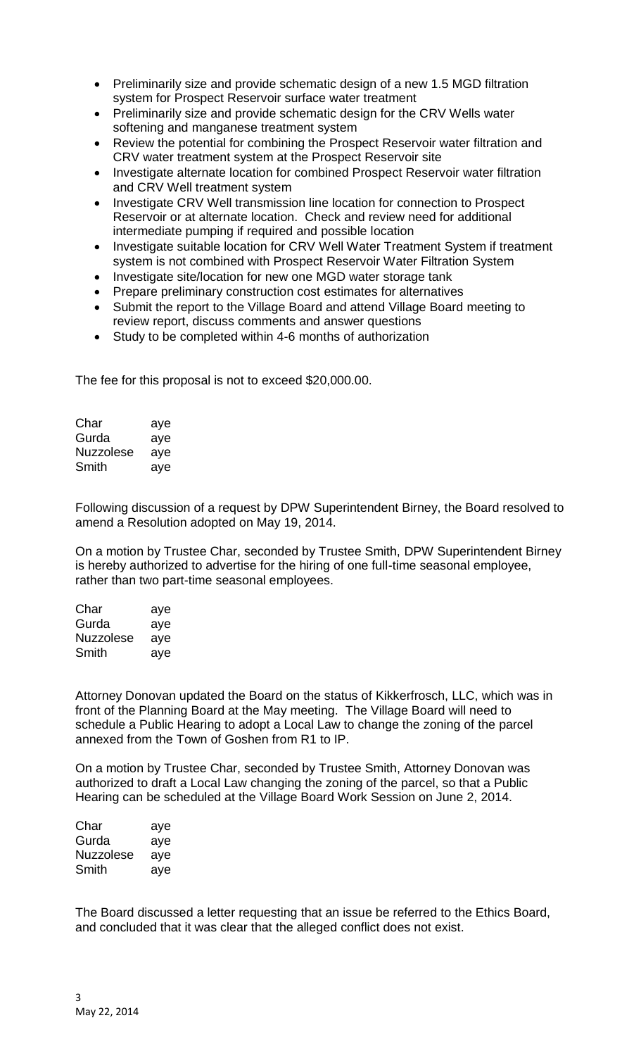- Preliminarily size and provide schematic design of a new 1.5 MGD filtration system for Prospect Reservoir surface water treatment
- Preliminarily size and provide schematic design for the CRV Wells water softening and manganese treatment system
- Review the potential for combining the Prospect Reservoir water filtration and CRV water treatment system at the Prospect Reservoir site
- Investigate alternate location for combined Prospect Reservoir water filtration and CRV Well treatment system
- Investigate CRV Well transmission line location for connection to Prospect Reservoir or at alternate location. Check and review need for additional intermediate pumping if required and possible location
- Investigate suitable location for CRV Well Water Treatment System if treatment system is not combined with Prospect Reservoir Water Filtration System
- Investigate site/location for new one MGD water storage tank
- Prepare preliminary construction cost estimates for alternatives
- Submit the report to the Village Board and attend Village Board meeting to review report, discuss comments and answer questions
- Study to be completed within 4-6 months of authorization

The fee for this proposal is not to exceed \$20,000.00.

| Char      | aye |
|-----------|-----|
| Gurda     | aye |
| Nuzzolese | aye |
| Smith     | aye |

Following discussion of a request by DPW Superintendent Birney, the Board resolved to amend a Resolution adopted on May 19, 2014.

On a motion by Trustee Char, seconded by Trustee Smith, DPW Superintendent Birney is hereby authorized to advertise for the hiring of one full-time seasonal employee, rather than two part-time seasonal employees.

| Char             | aye |
|------------------|-----|
| Gurda            | aye |
| <b>Nuzzolese</b> | aye |
| Smith            | ave |

Attorney Donovan updated the Board on the status of Kikkerfrosch, LLC, which was in front of the Planning Board at the May meeting. The Village Board will need to schedule a Public Hearing to adopt a Local Law to change the zoning of the parcel annexed from the Town of Goshen from R1 to IP.

On a motion by Trustee Char, seconded by Trustee Smith, Attorney Donovan was authorized to draft a Local Law changing the zoning of the parcel, so that a Public Hearing can be scheduled at the Village Board Work Session on June 2, 2014.

| Char             | aye |
|------------------|-----|
| Gurda            | aye |
| <b>Nuzzolese</b> | aye |
| Smith            | aye |

The Board discussed a letter requesting that an issue be referred to the Ethics Board, and concluded that it was clear that the alleged conflict does not exist.